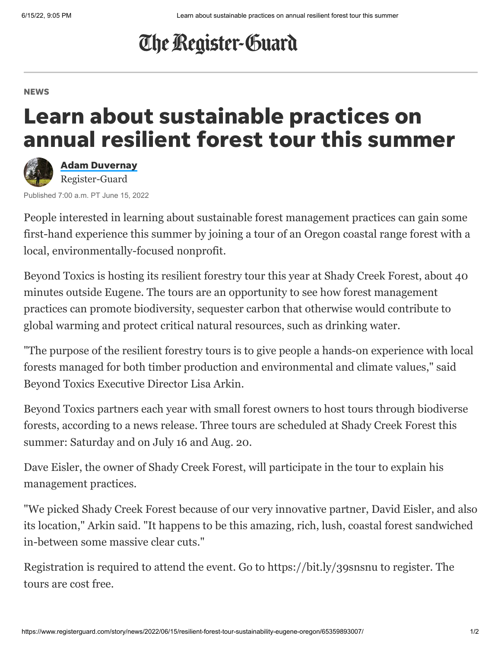## The Register-Guard

## **NEWS**

## Learn about sustainable practices on annual resilient forest tour this summer



Adam [Duvernay](https://www.registerguard.com/staff/3392076001/adam-duvernay/) Register-Guard

Published 7:00 a.m. PT June 15, 2022

People interested in learning about sustainable forest management practices can gain some first-hand experience this summer by joining a tour of an Oregon coastal range forest with a local, environmentally-focused nonprofit.

[Beyond Toxics](https://www.beyondtoxics.org/) is hosting its resilient forestry tour this year at [Shady Creek Forest](https://www.shadycreekpnw.com/), about 40 minutes outside Eugene. The tours are an opportunity to see how forest management practices can promote biodiversity, sequester carbon that otherwise would contribute to global warming and protect critical natural resources, such as drinking water.

"The purpose of the resilient forestry tours is to give people a hands-on experience with local forests managed for both timber production and environmental and climate values," said Beyond Toxics Executive Director Lisa Arkin.

Beyond Toxics partners each year with small forest owners to host tours through biodiverse forests, according to a news release. Three tours are scheduled at Shady Creek Forest this summer: Saturday and on July 16 and Aug. 20.

[Dave Eisler,](https://www.youtube.com/watch?v=y0nJdzbYoV8) the owner of Shady Creek Forest, will participate in the tour to explain his management practices.

"We picked Shady Creek Forest because of our very innovative partner, David Eisler, and also its location," Arkin said. "It happens to be this amazing, rich, lush, coastal forest sandwiched in-between some massive clear cuts."

Registration is required to attend the event. Go to [https://bit.ly/39snsnu](https://docs.google.com/forms/d/e/1FAIpQLSd24yO5M-p7gYABMSVrwNJk0JWizZRNIWaionS5HEhOauadeA/viewform) to register. The tours are cost free.